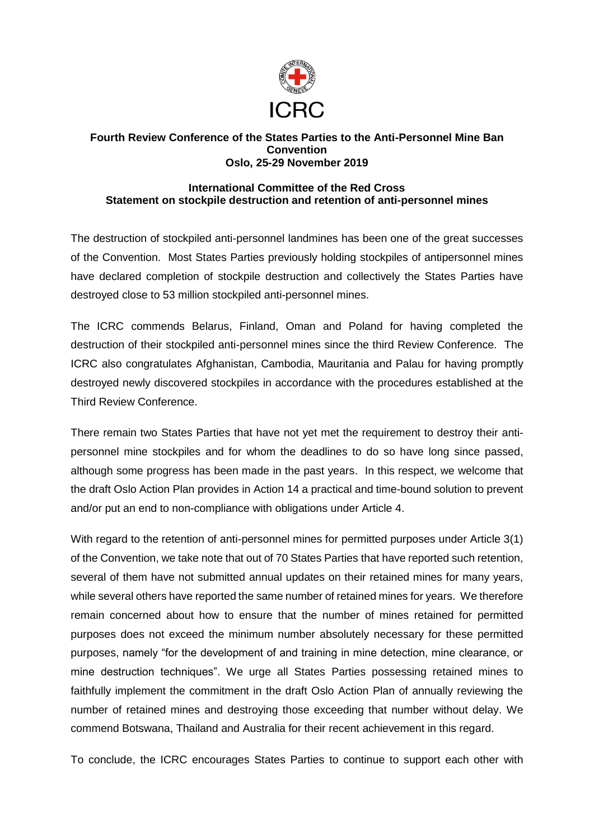

## **Fourth Review Conference of the States Parties to the Anti-Personnel Mine Ban Convention Oslo, 25-29 November 2019**

## **International Committee of the Red Cross Statement on stockpile destruction and retention of anti-personnel mines**

The destruction of stockpiled anti-personnel landmines has been one of the great successes of the Convention. Most States Parties previously holding stockpiles of antipersonnel mines have declared completion of stockpile destruction and collectively the States Parties have destroyed close to 53 million stockpiled anti-personnel mines.

The ICRC commends Belarus, Finland, Oman and Poland for having completed the destruction of their stockpiled anti-personnel mines since the third Review Conference. The ICRC also congratulates Afghanistan, Cambodia, Mauritania and Palau for having promptly destroyed newly discovered stockpiles in accordance with the procedures established at the Third Review Conference.

There remain two States Parties that have not yet met the requirement to destroy their antipersonnel mine stockpiles and for whom the deadlines to do so have long since passed, although some progress has been made in the past years. In this respect, we welcome that the draft Oslo Action Plan provides in Action 14 a practical and time-bound solution to prevent and/or put an end to non-compliance with obligations under Article 4.

With regard to the retention of anti-personnel mines for permitted purposes under Article 3(1) of the Convention, we take note that out of 70 States Parties that have reported such retention, several of them have not submitted annual updates on their retained mines for many years, while several others have reported the same number of retained mines for years. We therefore remain concerned about how to ensure that the number of mines retained for permitted purposes does not exceed the minimum number absolutely necessary for these permitted purposes, namely "for the development of and training in mine detection, mine clearance, or mine destruction techniques". We urge all States Parties possessing retained mines to faithfully implement the commitment in the draft Oslo Action Plan of annually reviewing the number of retained mines and destroying those exceeding that number without delay. We commend Botswana, Thailand and Australia for their recent achievement in this regard.

To conclude, the ICRC encourages States Parties to continue to support each other with